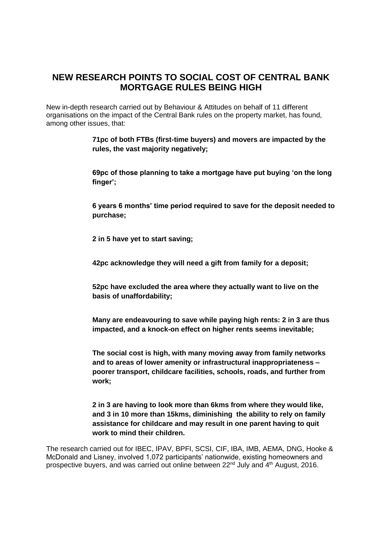## **NEW RESEARCH POINTS TO SOCIAL COST OF CENTRAL BANK MORTGAGE RULES BEING HIGH**

New in-depth research carried out by Behaviour & Attitudes on behalf of 11 different organisations on the impact of the Central Bank rules on the property market, has found, among other issues, that:

> **71pc of both FTBs (first-time buyers) and movers are impacted by the rules, the vast majority negatively;**

**69pc of those planning to take a mortgage have put buying 'on the long finger';**

**6 years 6 months' time period required to save for the deposit needed to purchase;**

**2 in 5 have yet to start saving;**

**42pc acknowledge they will need a gift from family for a deposit;**

**52pc have excluded the area where they actually want to live on the basis of unaffordability;**

**Many are endeavouring to save while paying high rents: 2 in 3 are thus impacted, and a knock-on effect on higher rents seems inevitable;**

**The social cost is high, with many moving away from family networks and to areas of lower amenity or infrastructural inappropriateness – poorer transport, childcare facilities, schools, roads, and further from work;**

**2 in 3 are having to look more than 6kms from where they would like, and 3 in 10 more than 15kms, diminishing the ability to rely on family assistance for childcare and may result in one parent having to quit work to mind their children.**

The research carried out for IBEC, IPAV, BPFI, SCSI, CIF, IBA, IMB, AEMA, DNG, Hooke & McDonald and Lisney, involved 1,072 participants' nationwide, existing homeowners and prospective buyers, and was carried out online between 22nd July and 4th August, 2016.